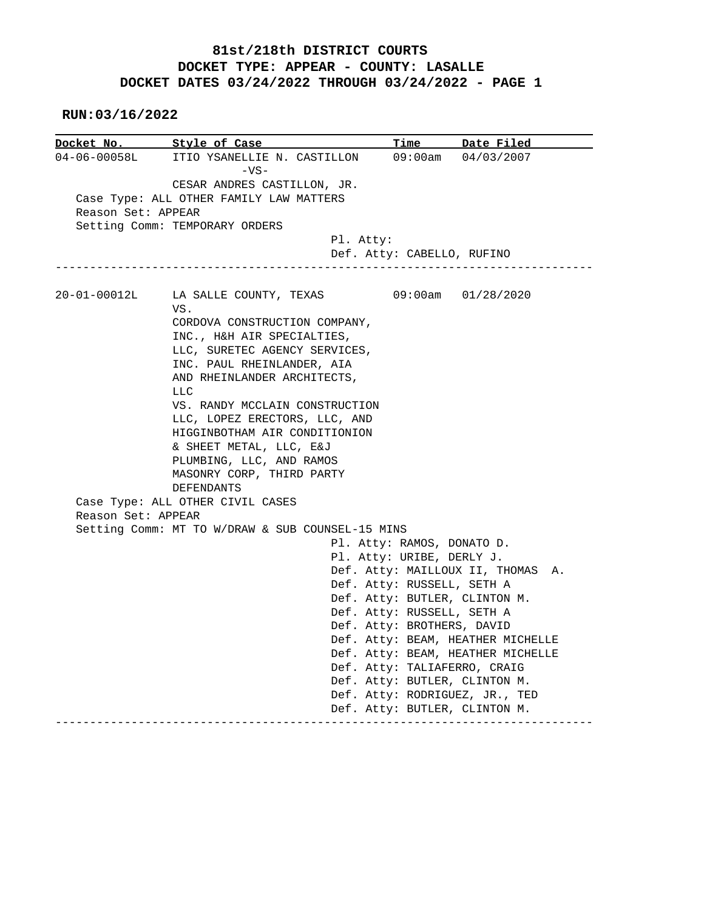## **81st/218th DISTRICT COURTS DOCKET TYPE: APPEAR - COUNTY: LASALLE DOCKET DATES 03/24/2022 THROUGH 03/24/2022 - PAGE 1**

 **RUN:03/16/2022**

|                    | Docket No. Style of Case                         |                               | Time Date Filed                   |  |  |  |
|--------------------|--------------------------------------------------|-------------------------------|-----------------------------------|--|--|--|
| $04 - 06 - 00058L$ | ITIO YSANELLIE N. CASTILLON<br>$-VS-$            |                               | $09:00am$ $04/03/2007$            |  |  |  |
|                    | CESAR ANDRES CASTILLON, JR.                      |                               |                                   |  |  |  |
|                    | Case Type: ALL OTHER FAMILY LAW MATTERS          |                               |                                   |  |  |  |
| Reason Set: APPEAR |                                                  |                               |                                   |  |  |  |
|                    | Setting Comm: TEMPORARY ORDERS                   |                               |                                   |  |  |  |
|                    | Pl. Atty:                                        |                               |                                   |  |  |  |
|                    | ----------------------                           | Def. Atty: CABELLO, RUFINO    |                                   |  |  |  |
| $20 - 01 - 00012L$ | LA SALLE COUNTY, TEXAS 09:00am 01/28/2020        |                               |                                   |  |  |  |
|                    | VS.                                              |                               |                                   |  |  |  |
|                    | CORDOVA CONSTRUCTION COMPANY,                    |                               |                                   |  |  |  |
|                    | INC., H&H AIR SPECIALTIES,                       |                               |                                   |  |  |  |
|                    | LLC, SURETEC AGENCY SERVICES,                    |                               |                                   |  |  |  |
|                    | INC. PAUL RHEINLANDER, AIA                       |                               |                                   |  |  |  |
|                    | AND RHEINLANDER ARCHITECTS,                      |                               |                                   |  |  |  |
|                    | <b>LLC</b><br>VS. RANDY MCCLAIN CONSTRUCTION     |                               |                                   |  |  |  |
|                    | LLC, LOPEZ ERECTORS, LLC, AND                    |                               |                                   |  |  |  |
|                    | HIGGINBOTHAM AIR CONDITIONION                    |                               |                                   |  |  |  |
|                    | & SHEET METAL, LLC, E&J                          |                               |                                   |  |  |  |
|                    | PLUMBING, LLC, AND RAMOS                         |                               |                                   |  |  |  |
|                    | MASONRY CORP, THIRD PARTY                        |                               |                                   |  |  |  |
|                    | <b>DEFENDANTS</b>                                |                               |                                   |  |  |  |
|                    | Case Type: ALL OTHER CIVIL CASES                 |                               |                                   |  |  |  |
| Reason Set: APPEAR |                                                  |                               |                                   |  |  |  |
|                    | Setting Comm: MT TO W/DRAW & SUB COUNSEL-15 MINS |                               |                                   |  |  |  |
|                    |                                                  | Pl. Atty: RAMOS, DONATO D.    |                                   |  |  |  |
|                    |                                                  | Pl. Atty: URIBE, DERLY J.     |                                   |  |  |  |
|                    |                                                  |                               | Def. Atty: MAILLOUX II, THOMAS A. |  |  |  |
|                    |                                                  | Def. Atty: RUSSELL, SETH A    |                                   |  |  |  |
|                    |                                                  | Def. Atty: BUTLER, CLINTON M. |                                   |  |  |  |
|                    |                                                  | Def. Atty: RUSSELL, SETH A    |                                   |  |  |  |
|                    |                                                  | Def. Atty: BROTHERS, DAVID    |                                   |  |  |  |
|                    |                                                  |                               | Def. Atty: BEAM, HEATHER MICHELLE |  |  |  |
|                    |                                                  |                               | Def. Atty: BEAM, HEATHER MICHELLE |  |  |  |
|                    |                                                  | Def. Atty: TALIAFERRO, CRAIG  |                                   |  |  |  |
|                    |                                                  | Def. Atty: BUTLER, CLINTON M. |                                   |  |  |  |
|                    |                                                  |                               | Def. Atty: RODRIGUEZ, JR., TED    |  |  |  |
|                    |                                                  | Def. Atty: BUTLER, CLINTON M. |                                   |  |  |  |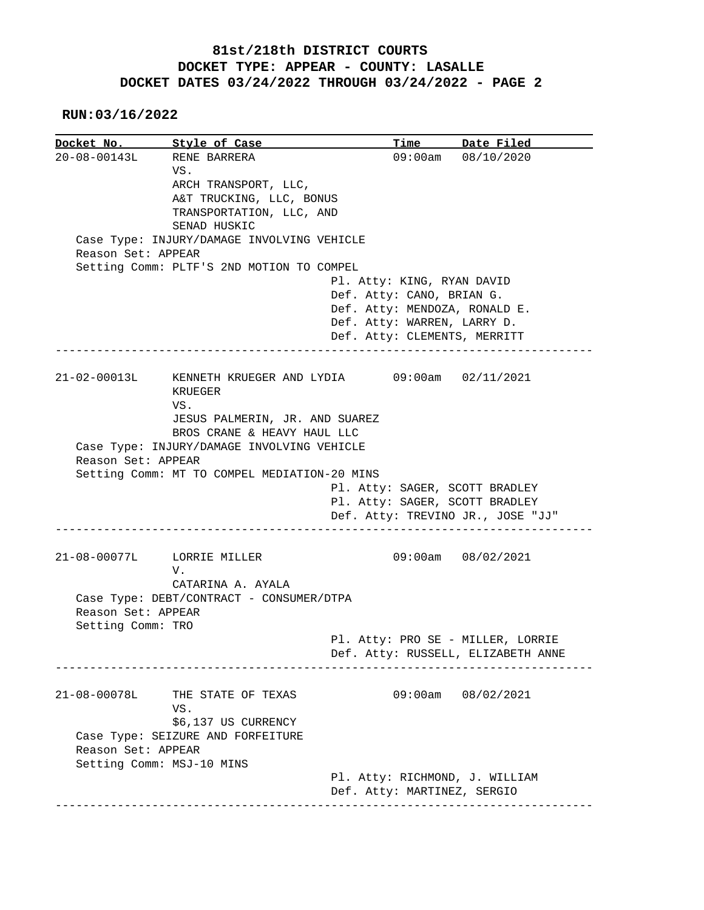## **81st/218th DISTRICT COURTS DOCKET TYPE: APPEAR - COUNTY: LASALLE DOCKET DATES 03/24/2022 THROUGH 03/24/2022 - PAGE 2**

 **RUN:03/16/2022**

| Docket No. Style of Case |                                                           |                             | Time Date Filed                    |
|--------------------------|-----------------------------------------------------------|-----------------------------|------------------------------------|
|                          | 20-08-00143L RENE BARRERA                                 |                             | 09:00am 08/10/2020                 |
|                          | VS.                                                       |                             |                                    |
|                          | ARCH TRANSPORT, LLC,                                      |                             |                                    |
|                          | A&T TRUCKING, LLC, BONUS                                  |                             |                                    |
|                          | TRANSPORTATION, LLC, AND                                  |                             |                                    |
|                          | SENAD HUSKIC                                              |                             |                                    |
|                          | Case Type: INJURY/DAMAGE INVOLVING VEHICLE                |                             |                                    |
| Reason Set: APPEAR       |                                                           |                             |                                    |
|                          | Setting Comm: PLTF'S 2ND MOTION TO COMPEL                 |                             |                                    |
|                          |                                                           | Pl. Atty: KING, RYAN DAVID  |                                    |
|                          |                                                           | Def. Atty: CANO, BRIAN G.   |                                    |
|                          |                                                           |                             | Def. Atty: MENDOZA, RONALD E.      |
|                          |                                                           | Def. Atty: WARREN, LARRY D. |                                    |
|                          |                                                           |                             |                                    |
|                          |                                                           |                             | Def. Atty: CLEMENTS, MERRITT       |
|                          |                                                           |                             |                                    |
|                          | 21-02-00013L KENNETH KRUEGER AND LYDIA 09:00am 02/11/2021 |                             |                                    |
|                          | KRUEGER                                                   |                             |                                    |
|                          | VS.                                                       |                             |                                    |
|                          | JESUS PALMERIN, JR. AND SUAREZ                            |                             |                                    |
|                          | BROS CRANE & HEAVY HAUL LLC                               |                             |                                    |
|                          |                                                           |                             |                                    |
|                          |                                                           |                             |                                    |
|                          | Case Type: INJURY/DAMAGE INVOLVING VEHICLE                |                             |                                    |
| Reason Set: APPEAR       |                                                           |                             |                                    |
|                          | Setting Comm: MT TO COMPEL MEDIATION-20 MINS              |                             |                                    |
|                          |                                                           |                             | Pl. Atty: SAGER, SCOTT BRADLEY     |
|                          |                                                           |                             | Pl. Atty: SAGER, SCOTT BRADLEY     |
|                          |                                                           |                             | Def. Atty: TREVINO JR., JOSE "JJ"  |
|                          |                                                           |                             |                                    |
|                          |                                                           |                             |                                    |
|                          | 21-08-00077L LORRIE MILLER                                |                             | 09:00am 08/02/2021                 |
|                          | V.                                                        |                             |                                    |
|                          | CATARINA A. AYALA                                         |                             |                                    |
|                          | Case Type: DEBT/CONTRACT - CONSUMER/DTPA                  |                             |                                    |
| Reason Set: APPEAR       |                                                           |                             |                                    |
| Setting Comm: TRO        |                                                           |                             |                                    |
|                          |                                                           |                             | Pl. Atty: PRO SE - MILLER, LORRIE  |
|                          |                                                           |                             | Def. Atty: RUSSELL, ELIZABETH ANNE |
|                          |                                                           |                             |                                    |
|                          |                                                           |                             |                                    |
|                          | THE STATE OF TEXAS                                        |                             | 09:00am 08/02/2021                 |
|                          | VS.                                                       |                             |                                    |
|                          | \$6,137 US CURRENCY                                       |                             |                                    |
|                          | Case Type: SEIZURE AND FORFEITURE                         |                             |                                    |
| Reason Set: APPEAR       |                                                           |                             |                                    |
| $21 - 08 - 00078L$       | Setting Comm: MSJ-10 MINS                                 |                             |                                    |
|                          |                                                           |                             | Pl. Atty: RICHMOND, J. WILLIAM     |